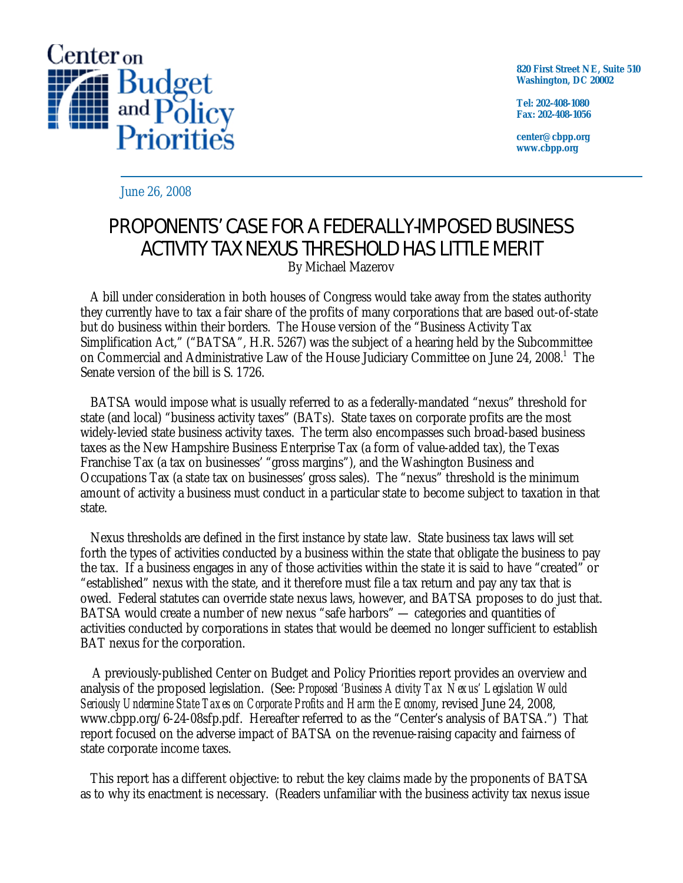

**820 First Street NE, Suite 510 Washington, DC 20002** 

**Tel: 202-408-1080 Fax: 202-408-1056** 

**center@cbpp.org www.cbpp.org** 

June 26, 2008

# PROPONENTS' CASE FOR A FEDERALLY-IMPOSED BUSINESS ACTIVITY TAX NEXUS THRESHOLD HAS LITTLE MERIT By Michael Mazerov

 A bill under consideration in both houses of Congress would take away from the states authority they currently have to tax a fair share of the profits of many corporations that are based out-of-state but do business within their borders. The House version of the "Business Activity Tax Simplification Act," ("BATSA", H.R. 5267) was the subject of a hearing held by the Subcommittee on Commercial and Administrative Law of the House Judiciary Committee on June 24, 2008.<sup>1</sup> The Senate version of the bill is S. 1726.

 BATSA would impose what is usually referred to as a federally-mandated "nexus" threshold for state (and local) "business activity taxes" (BATs). State taxes on corporate profits are the most widely-levied state business activity taxes. The term also encompasses such broad-based business taxes as the New Hampshire Business Enterprise Tax (a form of value-added tax), the Texas Franchise Tax (a tax on businesses' "gross margins"), and the Washington Business and Occupations Tax (a state tax on businesses' gross sales). The "nexus" threshold is the minimum amount of activity a business must conduct in a particular state to become subject to taxation in that state.

 Nexus thresholds are defined in the first instance by state law. State business tax laws will set forth the types of activities conducted by a business within the state that obligate the business to pay the tax. If a business engages in any of those activities within the state it is said to have "created" or "established" nexus with the state, and it therefore must file a tax return and pay any tax that is owed. Federal statutes can override state nexus laws, however, and BATSA proposes to do just that. BATSA would create a number of new nexus "safe harbors" — categories and quantities of activities conducted by corporations in states that would be deemed no longer sufficient to establish BAT nexus for the corporation.

A previously-published Center on Budget and Policy Priorities report provides an overview and analysis of the proposed legislation. (See: *Proposed 'Business Activity Tax Nexus' Legislation Would Seriously Undermine State Taxes on Corporate Profits and Harm the Economy*, revised June 24, 2008, www.cbpp.org/6-24-08sfp.pdf. Hereafter referred to as the "Center's analysis of BATSA.") That report focused on the adverse impact of BATSA on the revenue-raising capacity and fairness of state corporate income taxes.

 This report has a different objective: to rebut the key claims made by the proponents of BATSA as to why its enactment is necessary. (Readers unfamiliar with the business activity tax nexus issue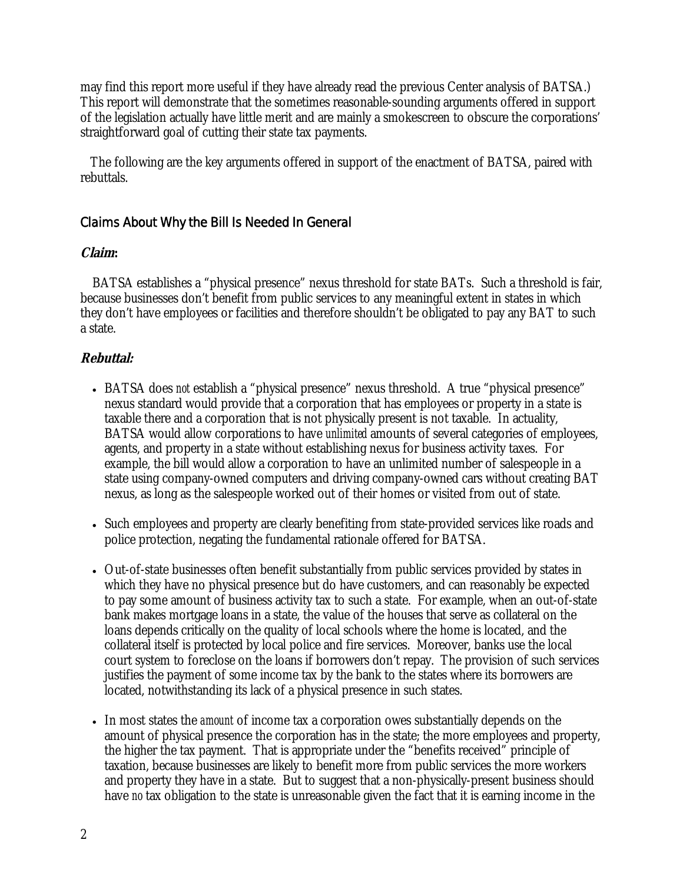may find this report more useful if they have already read the previous Center analysis of BATSA.) This report will demonstrate that the sometimes reasonable-sounding arguments offered in support of the legislation actually have little merit and are mainly a smokescreen to obscure the corporations' straightforward goal of cutting their state tax payments.

 The following are the key arguments offered in support of the enactment of BATSA, paired with rebuttals.

### Claims About Why the Bill Is Needed In General

#### **Claim:**

BATSA establishes a "physical presence" nexus threshold for state BATs. Such a threshold is fair, because businesses don't benefit from public services to any meaningful extent in states in which they don't have employees or facilities and therefore shouldn't be obligated to pay any BAT to such a state.

- BATSA does *not* establish a "physical presence" nexus threshold. A true "physical presence" nexus standard would provide that a corporation that has employees or property in a state is taxable there and a corporation that is not physically present is not taxable. In actuality, BATSA would allow corporations to have *unlimited* amounts of several categories of employees, agents, and property in a state without establishing nexus for business activity taxes. For example, the bill would allow a corporation to have an unlimited number of salespeople in a state using company-owned computers and driving company-owned cars without creating BAT nexus, as long as the salespeople worked out of their homes or visited from out of state.
- Such employees and property are clearly benefiting from state-provided services like roads and police protection, negating the fundamental rationale offered for BATSA.
- Out-of-state businesses often benefit substantially from public services provided by states in which they have no physical presence but do have customers, and can reasonably be expected to pay some amount of business activity tax to such a state. For example, when an out-of-state bank makes mortgage loans in a state, the value of the houses that serve as collateral on the loans depends critically on the quality of local schools where the home is located, and the collateral itself is protected by local police and fire services. Moreover, banks use the local court system to foreclose on the loans if borrowers don't repay. The provision of such services justifies the payment of some income tax by the bank to the states where its borrowers are located, notwithstanding its lack of a physical presence in such states.
- In most states the *amount* of income tax a corporation owes substantially depends on the amount of physical presence the corporation has in the state; the more employees and property, the higher the tax payment. That is appropriate under the "benefits received" principle of taxation, because businesses are likely to benefit more from public services the more workers and property they have in a state. But to suggest that a non-physically-present business should have *no* tax obligation to the state is unreasonable given the fact that it is earning income in the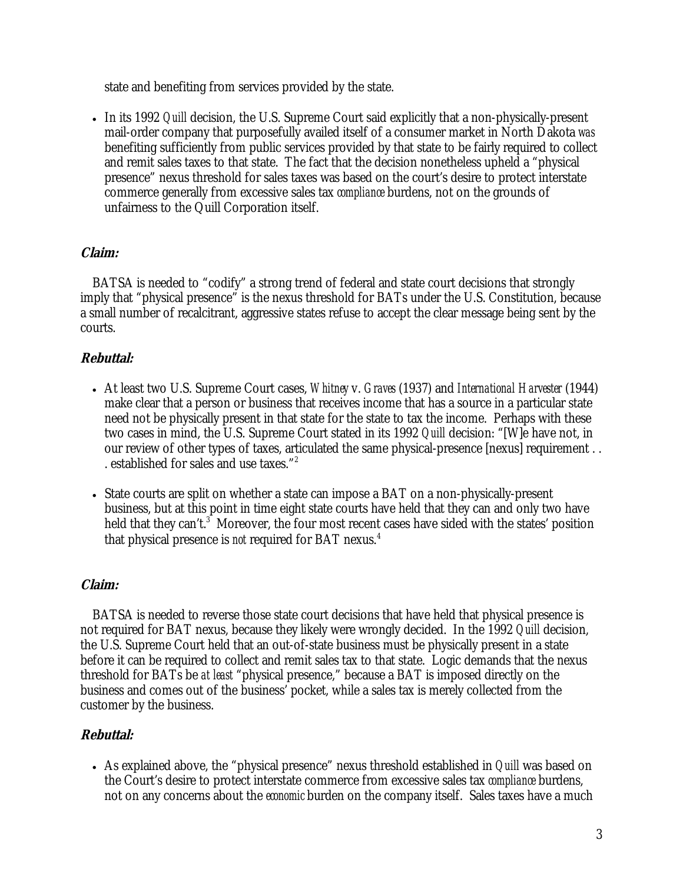state and benefiting from services provided by the state.

• In its 1992 *Quill* decision, the U.S. Supreme Court said explicitly that a non-physically-present mail-order company that purposefully availed itself of a consumer market in North Dakota *was* benefiting sufficiently from public services provided by that state to be fairly required to collect and remit sales taxes to that state. The fact that the decision nonetheless upheld a "physical presence" nexus threshold for sales taxes was based on the court's desire to protect interstate commerce generally from excessive sales tax *compliance* burdens, not on the grounds of unfairness to the Quill Corporation itself.

#### **Claim:**

BATSA is needed to "codify" a strong trend of federal and state court decisions that strongly imply that "physical presence" is the nexus threshold for BATs under the U.S. Constitution, because a small number of recalcitrant, aggressive states refuse to accept the clear message being sent by the courts.

### **Rebuttal:**

- At least two U.S. Supreme Court cases, *Whitney* v. *Graves* (1937) and *International Harvester* (1944) make clear that a person or business that receives income that has a source in a particular state need not be physically present in that state for the state to tax the income. Perhaps with these two cases in mind, the U.S. Supreme Court stated in its 1992 *Quill* decision: "[W]e have not, in our review of other types of taxes, articulated the same physical-presence [nexus] requirement . . . established for sales and use taxes."<sup>2</sup>
- State courts are split on whether a state can impose a BAT on a non-physically-present business, but at this point in time eight state courts have held that they can and only two have held that they can't.<sup>3</sup> Moreover, the four most recent cases have sided with the states' position that physical presence is *not* required for BAT nexus. 4

### **Claim:**

BATSA is needed to reverse those state court decisions that have held that physical presence is not required for BAT nexus, because they likely were wrongly decided. In the 1992 *Quill* decision, the U.S. Supreme Court held that an out-of-state business must be physically present in a state before it can be required to collect and remit sales tax to that state. Logic demands that the nexus threshold for BATs be *at least* "physical presence," because a BAT is imposed directly on the business and comes out of the business' pocket, while a sales tax is merely collected from the customer by the business.

### **Rebuttal:**

• As explained above, the "physical presence" nexus threshold established in *Quill* was based on the Court's desire to protect interstate commerce from excessive sales tax *compliance* burdens, not on any concerns about the *economic* burden on the company itself. Sales taxes have a much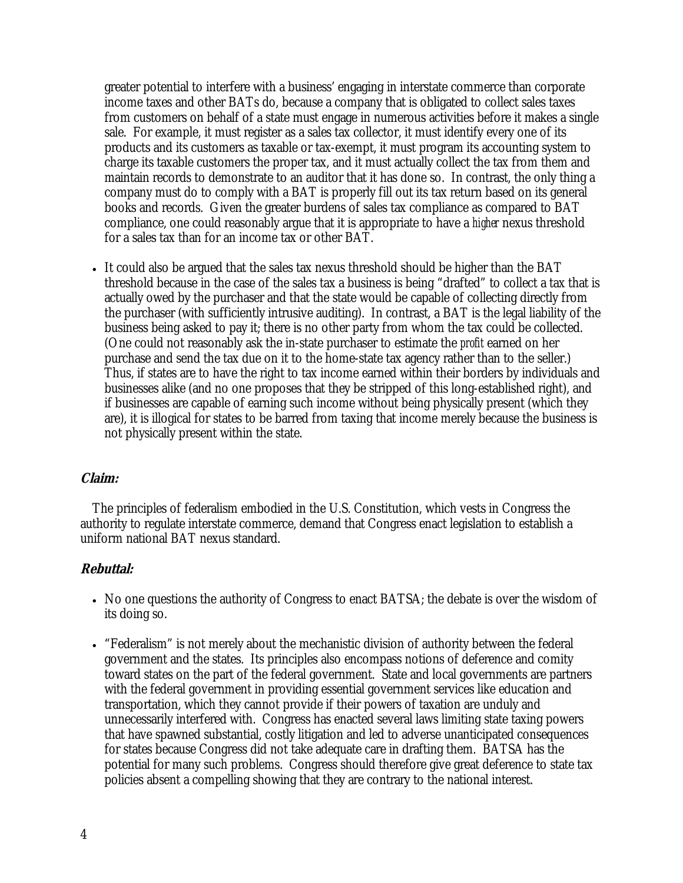greater potential to interfere with a business' engaging in interstate commerce than corporate income taxes and other BATs do, because a company that is obligated to collect sales taxes from customers on behalf of a state must engage in numerous activities before it makes a single sale. For example, it must register as a sales tax collector, it must identify every one of its products and its customers as taxable or tax-exempt, it must program its accounting system to charge its taxable customers the proper tax, and it must actually collect the tax from them and maintain records to demonstrate to an auditor that it has done so. In contrast, the only thing a company must do to comply with a BAT is properly fill out its tax return based on its general books and records. Given the greater burdens of sales tax compliance as compared to BAT compliance, one could reasonably argue that it is appropriate to have a *higher* nexus threshold for a sales tax than for an income tax or other BAT.

• It could also be argued that the sales tax nexus threshold should be higher than the BAT threshold because in the case of the sales tax a business is being "drafted" to collect a tax that is actually owed by the purchaser and that the state would be capable of collecting directly from the purchaser (with sufficiently intrusive auditing). In contrast, a BAT is the legal liability of the business being asked to pay it; there is no other party from whom the tax could be collected. (One could not reasonably ask the in-state purchaser to estimate the *profit* earned on her purchase and send the tax due on it to the home-state tax agency rather than to the seller.) Thus, if states are to have the right to tax income earned within their borders by individuals and businesses alike (and no one proposes that they be stripped of this long-established right), and if businesses are capable of earning such income without being physically present (which they are), it is illogical for states to be barred from taxing that income merely because the business is not physically present within the state.

#### **Claim:**

The principles of federalism embodied in the U.S. Constitution, which vests in Congress the authority to regulate interstate commerce, demand that Congress enact legislation to establish a uniform national BAT nexus standard.

- No one questions the authority of Congress to enact BATSA; the debate is over the wisdom of its doing so.
- "Federalism" is not merely about the mechanistic division of authority between the federal government and the states. Its principles also encompass notions of deference and comity toward states on the part of the federal government. State and local governments are partners with the federal government in providing essential government services like education and transportation, which they cannot provide if their powers of taxation are unduly and unnecessarily interfered with. Congress has enacted several laws limiting state taxing powers that have spawned substantial, costly litigation and led to adverse unanticipated consequences for states because Congress did not take adequate care in drafting them. BATSA has the potential for many such problems. Congress should therefore give great deference to state tax policies absent a compelling showing that they are contrary to the national interest.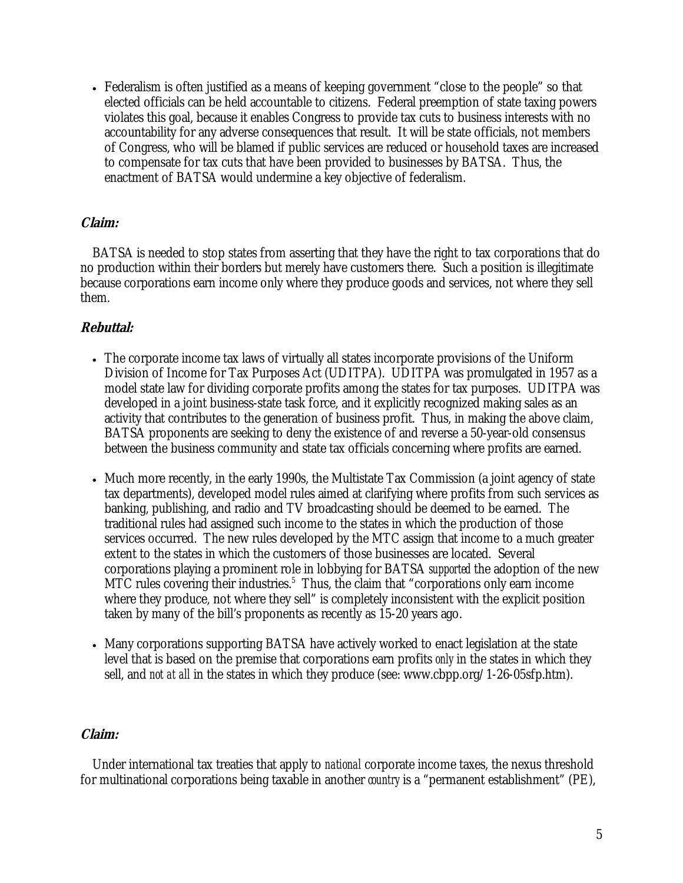• Federalism is often justified as a means of keeping government "close to the people" so that elected officials can be held accountable to citizens. Federal preemption of state taxing powers violates this goal, because it enables Congress to provide tax cuts to business interests with no accountability for any adverse consequences that result. It will be state officials, not members of Congress, who will be blamed if public services are reduced or household taxes are increased to compensate for tax cuts that have been provided to businesses by BATSA. Thus, the enactment of BATSA would undermine a key objective of federalism.

### **Claim:**

BATSA is needed to stop states from asserting that they have the right to tax corporations that do no production within their borders but merely have customers there. Such a position is illegitimate because corporations earn income only where they produce goods and services, not where they sell them.

### **Rebuttal:**

- The corporate income tax laws of virtually all states incorporate provisions of the Uniform Division of Income for Tax Purposes Act (UDITPA). UDITPA was promulgated in 1957 as a model state law for dividing corporate profits among the states for tax purposes. UDITPA was developed in a joint business-state task force, and it explicitly recognized making sales as an activity that contributes to the generation of business profit. Thus, in making the above claim, BATSA proponents are seeking to deny the existence of and reverse a 50-year-old consensus between the business community and state tax officials concerning where profits are earned.
- Much more recently, in the early 1990s, the Multistate Tax Commission (a joint agency of state tax departments), developed model rules aimed at clarifying where profits from such services as banking, publishing, and radio and TV broadcasting should be deemed to be earned. The traditional rules had assigned such income to the states in which the production of those services occurred. The new rules developed by the MTC assign that income to a much greater extent to the states in which the customers of those businesses are located. Several corporations playing a prominent role in lobbying for BATSA *supported* the adoption of the new MTC rules covering their industries.<sup>5</sup> Thus, the claim that "corporations only earn income where they produce, not where they sell" is completely inconsistent with the explicit position taken by many of the bill's proponents as recently as 15-20 years ago.
- Many corporations supporting BATSA have actively worked to enact legislation at the state level that is based on the premise that corporations earn profits *only* in the states in which they sell, and *not at all* in the states in which they produce (see: www.cbpp.org/1-26-05sfp.htm).

#### **Claim:**

Under international tax treaties that apply to *national* corporate income taxes, the nexus threshold for multinational corporations being taxable in another *country* is a "permanent establishment" (PE),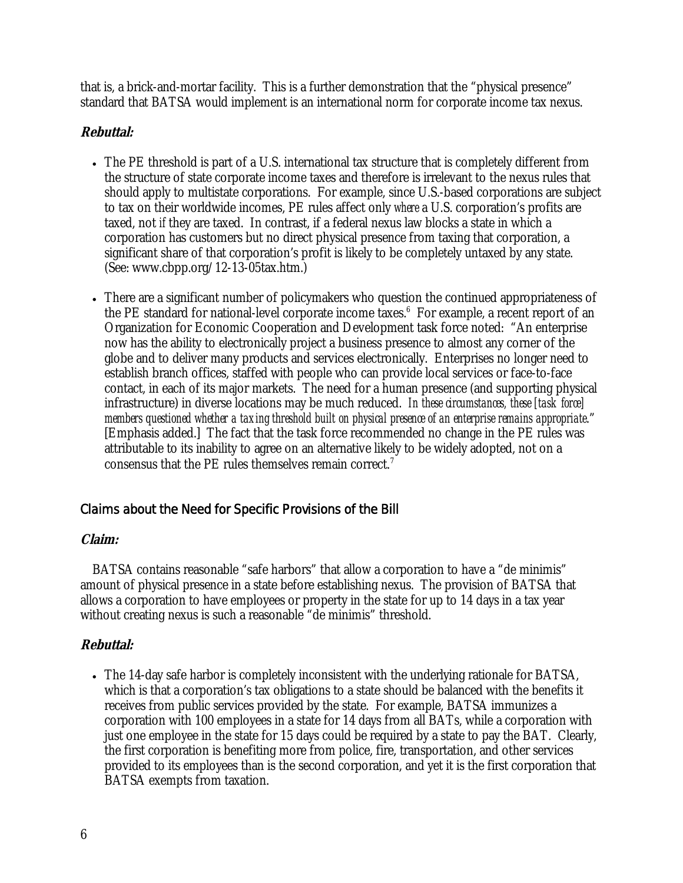that is, a brick-and-mortar facility. This is a further demonstration that the "physical presence" standard that BATSA would implement is an international norm for corporate income tax nexus.

### **Rebuttal:**

- The PE threshold is part of a U.S. international tax structure that is completely different from the structure of state corporate income taxes and therefore is irrelevant to the nexus rules that should apply to multistate corporations. For example, since U.S.-based corporations are subject to tax on their worldwide incomes, PE rules affect only *where* a U.S. corporation's profits are taxed, not *if* they are taxed. In contrast, if a federal nexus law blocks a state in which a corporation has customers but no direct physical presence from taxing that corporation, a significant share of that corporation's profit is likely to be completely untaxed by any state. (See: www.cbpp.org/12-13-05tax.htm.)
- There are a significant number of policymakers who question the continued appropriateness of the PE standard for national-level corporate income taxes.<sup>6</sup> For example, a recent report of an Organization for Economic Cooperation and Development task force noted: "An enterprise now has the ability to electronically project a business presence to almost any corner of the globe and to deliver many products and services electronically. Enterprises no longer need to establish branch offices, staffed with people who can provide local services or face-to-face contact, in each of its major markets. The need for a human presence (and supporting physical infrastructure) in diverse locations may be much reduced. *In these circumstances, these [task force] members questioned whether a taxing threshold built on physical presence of an enterprise remains appropriate*." [Emphasis added.] The fact that the task force recommended no change in the PE rules was attributable to its inability to agree on an alternative likely to be widely adopted, not on a consensus that the PE rules themselves remain correct. 7

## Claims about the Need for Specific Provisions of the Bill

### **Claim:**

BATSA contains reasonable "safe harbors" that allow a corporation to have a "de minimis" amount of physical presence in a state before establishing nexus. The provision of BATSA that allows a corporation to have employees or property in the state for up to 14 days in a tax year without creating nexus is such a reasonable "de minimis" threshold.

## **Rebuttal:**

• The 14-day safe harbor is completely inconsistent with the underlying rationale for BATSA, which is that a corporation's tax obligations to a state should be balanced with the benefits it receives from public services provided by the state. For example, BATSA immunizes a corporation with 100 employees in a state for 14 days from all BATs, while a corporation with just one employee in the state for 15 days could be required by a state to pay the BAT. Clearly, the first corporation is benefiting more from police, fire, transportation, and other services provided to its employees than is the second corporation, and yet it is the first corporation that BATSA exempts from taxation.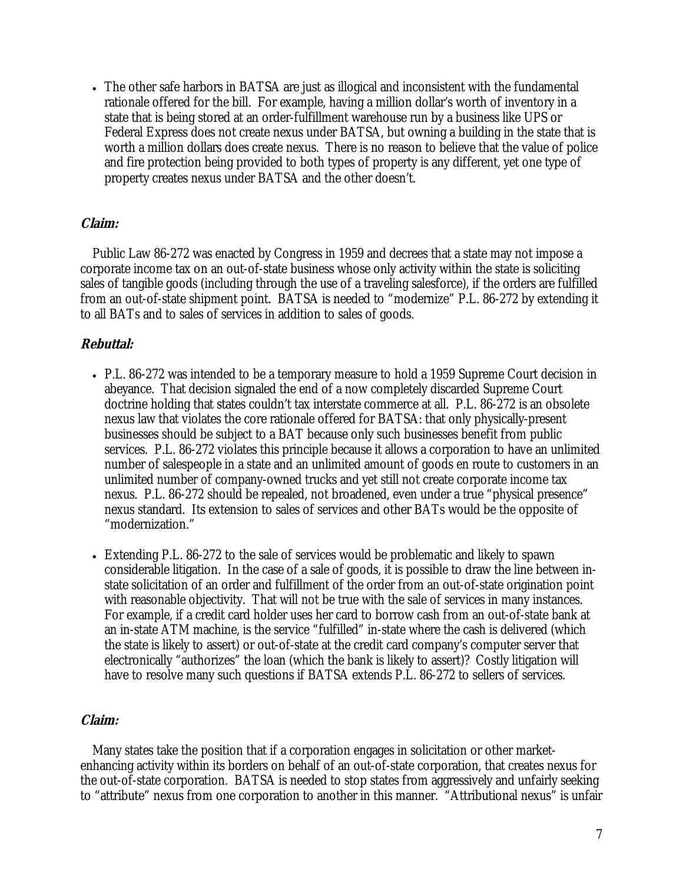• The other safe harbors in BATSA are just as illogical and inconsistent with the fundamental rationale offered for the bill. For example, having a million dollar's worth of inventory in a state that is being stored at an order-fulfillment warehouse run by a business like UPS or Federal Express does not create nexus under BATSA, but owning a building in the state that is worth a million dollars does create nexus. There is no reason to believe that the value of police and fire protection being provided to both types of property is any different, yet one type of property creates nexus under BATSA and the other doesn't.

#### **Claim:**

Public Law 86-272 was enacted by Congress in 1959 and decrees that a state may not impose a corporate income tax on an out-of-state business whose only activity within the state is soliciting sales of tangible goods (including through the use of a traveling salesforce), if the orders are fulfilled from an out-of-state shipment point. BATSA is needed to "modernize" P.L. 86-272 by extending it to all BATs and to sales of services in addition to sales of goods.

#### **Rebuttal:**

- P.L. 86-272 was intended to be a temporary measure to hold a 1959 Supreme Court decision in abeyance. That decision signaled the end of a now completely discarded Supreme Court doctrine holding that states couldn't tax interstate commerce at all. P.L. 86-272 is an obsolete nexus law that violates the core rationale offered for BATSA: that only physically-present businesses should be subject to a BAT because only such businesses benefit from public services. P.L. 86-272 violates this principle because it allows a corporation to have an unlimited number of salespeople in a state and an unlimited amount of goods en route to customers in an unlimited number of company-owned trucks and yet still not create corporate income tax nexus. P.L. 86-272 should be repealed, not broadened, even under a true "physical presence" nexus standard. Its extension to sales of services and other BATs would be the opposite of "modernization."
- Extending P.L. 86-272 to the sale of services would be problematic and likely to spawn considerable litigation. In the case of a sale of goods, it is possible to draw the line between instate solicitation of an order and fulfillment of the order from an out-of-state origination point with reasonable objectivity. That will not be true with the sale of services in many instances. For example, if a credit card holder uses her card to borrow cash from an out-of-state bank at an in-state ATM machine, is the service "fulfilled" in-state where the cash is delivered (which the state is likely to assert) or out-of-state at the credit card company's computer server that electronically "authorizes" the loan (which the bank is likely to assert)? Costly litigation will have to resolve many such questions if BATSA extends P.L. 86-272 to sellers of services.

#### **Claim:**

Many states take the position that if a corporation engages in solicitation or other marketenhancing activity within its borders on behalf of an out-of-state corporation, that creates nexus for the out-of-state corporation. BATSA is needed to stop states from aggressively and unfairly seeking to "attribute" nexus from one corporation to another in this manner. "Attributional nexus" is unfair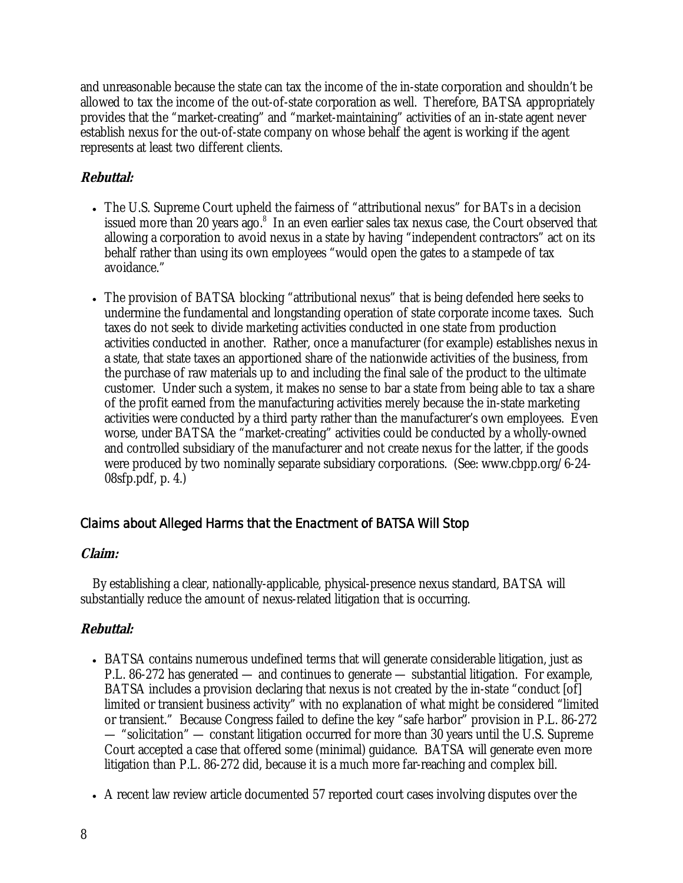and unreasonable because the state can tax the income of the in-state corporation and shouldn't be allowed to tax the income of the out-of-state corporation as well. Therefore, BATSA appropriately provides that the "market-creating" and "market-maintaining" activities of an in-state agent never establish nexus for the out-of-state company on whose behalf the agent is working if the agent represents at least two different clients.

### **Rebuttal:**

- The U.S. Supreme Court upheld the fairness of "attributional nexus" for BATs in a decision issued more than 20 years ago.<sup>8</sup> In an even earlier sales tax nexus case, the Court observed that allowing a corporation to avoid nexus in a state by having "independent contractors" act on its behalf rather than using its own employees "would open the gates to a stampede of tax avoidance."
- The provision of BATSA blocking "attributional nexus" that is being defended here seeks to undermine the fundamental and longstanding operation of state corporate income taxes. Such taxes do not seek to divide marketing activities conducted in one state from production activities conducted in another. Rather, once a manufacturer (for example) establishes nexus in a state, that state taxes an apportioned share of the nationwide activities of the business, from the purchase of raw materials up to and including the final sale of the product to the ultimate customer. Under such a system, it makes no sense to bar a state from being able to tax a share of the profit earned from the manufacturing activities merely because the in-state marketing activities were conducted by a third party rather than the manufacturer's own employees. Even worse, under BATSA the "market-creating" activities could be conducted by a wholly-owned and controlled subsidiary of the manufacturer and not create nexus for the latter, if the goods were produced by two nominally separate subsidiary corporations. (See: www.cbpp.org/6-24- 08sfp.pdf, p. 4.)

## Claims about Alleged Harms that the Enactment of BATSA Will Stop

### **Claim:**

By establishing a clear, nationally-applicable, physical-presence nexus standard, BATSA will substantially reduce the amount of nexus-related litigation that is occurring.

- BATSA contains numerous undefined terms that will generate considerable litigation, just as P.L. 86-272 has generated — and continues to generate — substantial litigation. For example, BATSA includes a provision declaring that nexus is not created by the in-state "conduct [of] limited or transient business activity" with no explanation of what might be considered "limited or transient." Because Congress failed to define the key "safe harbor" provision in P.L. 86-272 — "solicitation" — constant litigation occurred for more than 30 years until the U.S. Supreme Court accepted a case that offered some (minimal) guidance. BATSA will generate even more litigation than P.L. 86-272 did, because it is a much more far-reaching and complex bill.
- A recent law review article documented 57 reported court cases involving disputes over the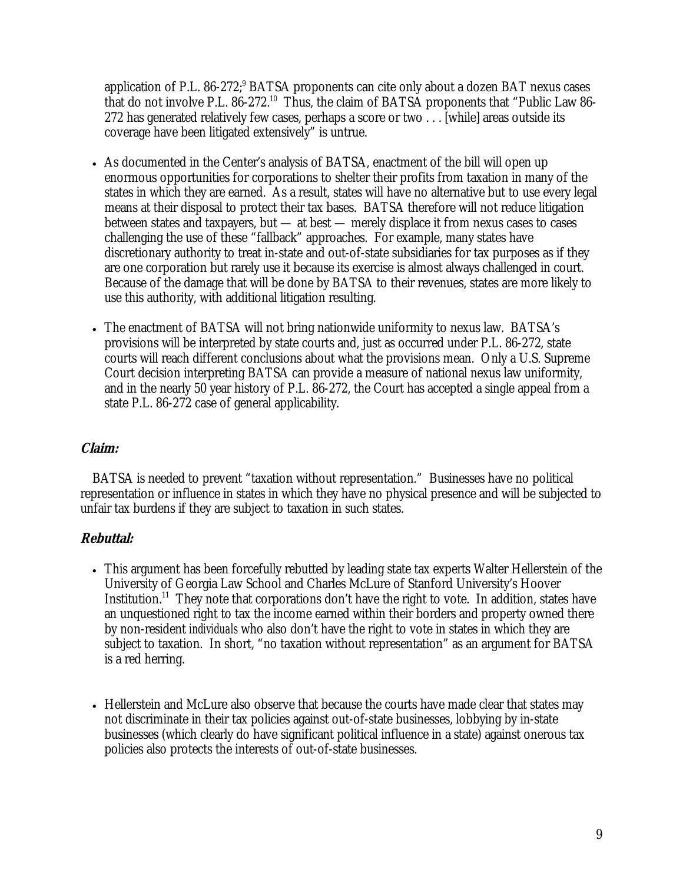application of P.L.  $86-272$ ;  $8ATSA$  proponents can cite only about a dozen BAT nexus cases that do not involve P.L. 86-272.10 Thus, the claim of BATSA proponents that "Public Law 86- 272 has generated relatively few cases, perhaps a score or two  $\ldots$  [while] areas outside its coverage have been litigated extensively" is untrue.

- As documented in the Center's analysis of BATSA, enactment of the bill will open up enormous opportunities for corporations to shelter their profits from taxation in many of the states in which they are earned. As a result, states will have no alternative but to use every legal means at their disposal to protect their tax bases. BATSA therefore will not reduce litigation between states and taxpayers, but — at best — merely displace it from nexus cases to cases challenging the use of these "fallback" approaches. For example, many states have discretionary authority to treat in-state and out-of-state subsidiaries for tax purposes as if they are one corporation but rarely use it because its exercise is almost always challenged in court. Because of the damage that will be done by BATSA to their revenues, states are more likely to use this authority, with additional litigation resulting.
- The enactment of BATSA will not bring nationwide uniformity to nexus law. BATSA's provisions will be interpreted by state courts and, just as occurred under P.L. 86-272, state courts will reach different conclusions about what the provisions mean. Only a U.S. Supreme Court decision interpreting BATSA can provide a measure of national nexus law uniformity, and in the nearly 50 year history of P.L. 86-272, the Court has accepted a single appeal from a state P.L. 86-272 case of general applicability.

#### **Claim:**

BATSA is needed to prevent "taxation without representation." Businesses have no political representation or influence in states in which they have no physical presence and will be subjected to unfair tax burdens if they are subject to taxation in such states.

- This argument has been forcefully rebutted by leading state tax experts Walter Hellerstein of the University of Georgia Law School and Charles McLure of Stanford University's Hoover Institution.<sup>11</sup> They note that corporations don't have the right to vote. In addition, states have an unquestioned right to tax the income earned within their borders and property owned there by non-resident *individuals* who also don't have the right to vote in states in which they are subject to taxation. In short, "no taxation without representation" as an argument for BATSA is a red herring.
- Hellerstein and McLure also observe that because the courts have made clear that states may not discriminate in their tax policies against out-of-state businesses, lobbying by in-state businesses (which clearly do have significant political influence in a state) against onerous tax policies also protects the interests of out-of-state businesses.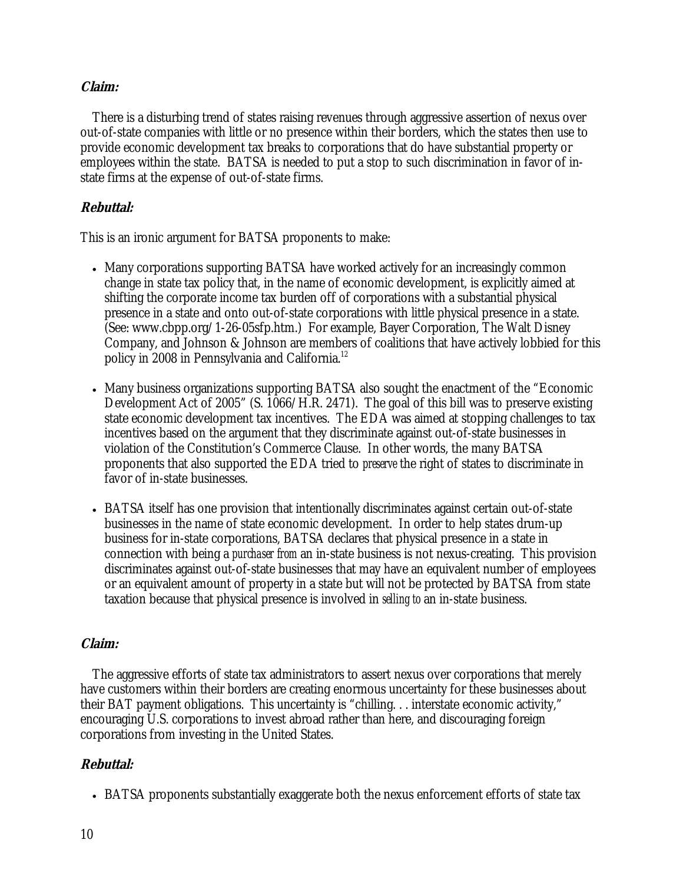#### **Claim:**

There is a disturbing trend of states raising revenues through aggressive assertion of nexus over out-of-state companies with little or no presence within their borders, which the states then use to provide economic development tax breaks to corporations that do have substantial property or employees within the state. BATSA is needed to put a stop to such discrimination in favor of instate firms at the expense of out-of-state firms.

#### **Rebuttal:**

This is an ironic argument for BATSA proponents to make:

- Many corporations supporting BATSA have worked actively for an increasingly common change in state tax policy that, in the name of economic development, is explicitly aimed at shifting the corporate income tax burden off of corporations with a substantial physical presence in a state and onto out-of-state corporations with little physical presence in a state. (See: www.cbpp.org/1-26-05sfp.htm.) For example, Bayer Corporation, The Walt Disney Company, and Johnson & Johnson are members of coalitions that have actively lobbied for this policy in 2008 in Pennsylvania and California.<sup>12</sup>
- Many business organizations supporting BATSA also sought the enactment of the "Economic Development Act of 2005" (S. 1066/H.R. 2471). The goal of this bill was to preserve existing state economic development tax incentives. The EDA was aimed at stopping challenges to tax incentives based on the argument that they discriminate against out-of-state businesses in violation of the Constitution's Commerce Clause. In other words, the many BATSA proponents that also supported the EDA tried to *preserve* the right of states to discriminate in favor of in-state businesses.
- BATSA itself has one provision that intentionally discriminates against certain out-of-state businesses in the name of state economic development. In order to help states drum-up business for in-state corporations, BATSA declares that physical presence in a state in connection with being a *purchaser from* an in-state business is not nexus-creating. This provision discriminates against out-of-state businesses that may have an equivalent number of employees or an equivalent amount of property in a state but will not be protected by BATSA from state taxation because that physical presence is involved in *selling to* an in-state business.

#### **Claim:**

The aggressive efforts of state tax administrators to assert nexus over corporations that merely have customers within their borders are creating enormous uncertainty for these businesses about their BAT payment obligations. This uncertainty is "chilling. . . interstate economic activity," encouraging U.S. corporations to invest abroad rather than here, and discouraging foreign corporations from investing in the United States.

#### **Rebuttal:**

• BATSA proponents substantially exaggerate both the nexus enforcement efforts of state tax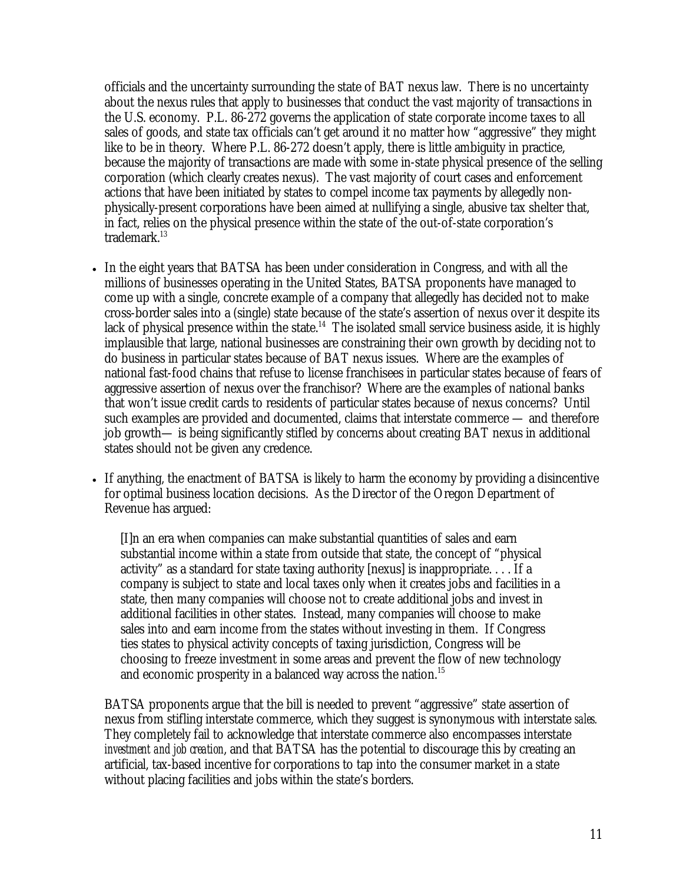officials and the uncertainty surrounding the state of BAT nexus law. There is no uncertainty about the nexus rules that apply to businesses that conduct the vast majority of transactions in the U.S. economy. P.L. 86-272 governs the application of state corporate income taxes to all sales of goods, and state tax officials can't get around it no matter how "aggressive" they might like to be in theory. Where P.L. 86-272 doesn't apply, there is little ambiguity in practice, because the majority of transactions are made with some in-state physical presence of the selling corporation (which clearly creates nexus). The vast majority of court cases and enforcement actions that have been initiated by states to compel income tax payments by allegedly nonphysically-present corporations have been aimed at nullifying a single, abusive tax shelter that, in fact, relies on the physical presence within the state of the out-of-state corporation's trademark.<sup>13</sup>

- In the eight years that BATSA has been under consideration in Congress, and with all the millions of businesses operating in the United States, BATSA proponents have managed to come up with a single, concrete example of a company that allegedly has decided not to make cross-border sales into a (single) state because of the state's assertion of nexus over it despite its lack of physical presence within the state.<sup>14</sup> The isolated small service business aside, it is highly implausible that large, national businesses are constraining their own growth by deciding not to do business in particular states because of BAT nexus issues. Where are the examples of national fast-food chains that refuse to license franchisees in particular states because of fears of aggressive assertion of nexus over the franchisor? Where are the examples of national banks that won't issue credit cards to residents of particular states because of nexus concerns? Until such examples are provided and documented, claims that interstate commerce — and therefore job growth— is being significantly stifled by concerns about creating BAT nexus in additional states should not be given any credence.
- If anything, the enactment of BATSA is likely to harm the economy by providing a disincentive for optimal business location decisions. As the Director of the Oregon Department of Revenue has argued:

[I]n an era when companies can make substantial quantities of sales and earn substantial income within a state from outside that state, the concept of "physical activity" as a standard for state taxing authority [nexus] is inappropriate. . . . If a company is subject to state and local taxes only when it creates jobs and facilities in a state, then many companies will choose not to create additional jobs and invest in additional facilities in other states. Instead, many companies will choose to make sales into and earn income from the states without investing in them. If Congress ties states to physical activity concepts of taxing jurisdiction, Congress will be choosing to freeze investment in some areas and prevent the flow of new technology and economic prosperity in a balanced way across the nation.<sup>15</sup>

BATSA proponents argue that the bill is needed to prevent "aggressive" state assertion of nexus from stifling interstate commerce, which they suggest is synonymous with interstate *sales.*  They completely fail to acknowledge that interstate commerce also encompasses interstate *investment and job creation*, and that BATSA has the potential to discourage this by creating an artificial, tax-based incentive for corporations to tap into the consumer market in a state without placing facilities and jobs within the state's borders.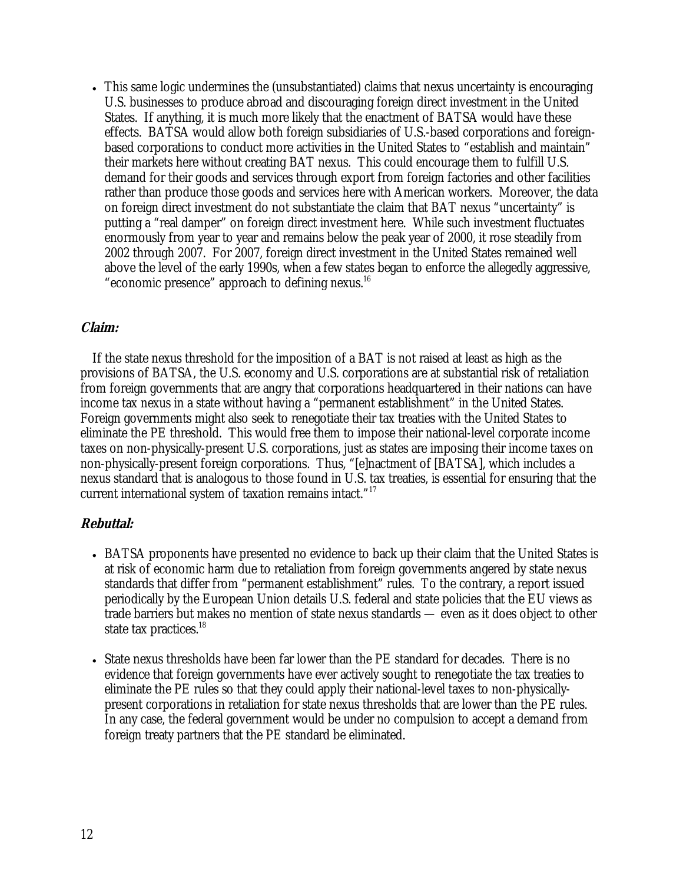• This same logic undermines the (unsubstantiated) claims that nexus uncertainty is encouraging U.S. businesses to produce abroad and discouraging foreign direct investment in the United States. If anything, it is much more likely that the enactment of BATSA would have these effects. BATSA would allow both foreign subsidiaries of U.S.-based corporations and foreignbased corporations to conduct more activities in the United States to "establish and maintain" their markets here without creating BAT nexus. This could encourage them to fulfill U.S. demand for their goods and services through export from foreign factories and other facilities rather than produce those goods and services here with American workers. Moreover, the data on foreign direct investment do not substantiate the claim that BAT nexus "uncertainty" is putting a "real damper" on foreign direct investment here. While such investment fluctuates enormously from year to year and remains below the peak year of 2000, it rose steadily from 2002 through 2007. For 2007, foreign direct investment in the United States remained well above the level of the early 1990s, when a few states began to enforce the allegedly aggressive, "economic presence" approach to defining nexus. $^{16}$ 

#### **Claim:**

If the state nexus threshold for the imposition of a BAT is not raised at least as high as the provisions of BATSA, the U.S. economy and U.S. corporations are at substantial risk of retaliation from foreign governments that are angry that corporations headquartered in their nations can have income tax nexus in a state without having a "permanent establishment" in the United States. Foreign governments might also seek to renegotiate their tax treaties with the United States to eliminate the PE threshold. This would free them to impose their national-level corporate income taxes on non-physically-present U.S. corporations, just as states are imposing their income taxes on non-physically-present foreign corporations. Thus, "[e]nactment of [BATSA], which includes a nexus standard that is analogous to those found in U.S. tax treaties, is essential for ensuring that the current international system of taxation remains intact."17

- BATSA proponents have presented no evidence to back up their claim that the United States is at risk of economic harm due to retaliation from foreign governments angered by state nexus standards that differ from "permanent establishment" rules. To the contrary, a report issued periodically by the European Union details U.S. federal and state policies that the EU views as trade barriers but makes no mention of state nexus standards — even as it does object to other state tax practices.<sup>18</sup>
- State nexus thresholds have been far lower than the PE standard for decades. There is no evidence that foreign governments have ever actively sought to renegotiate the tax treaties to eliminate the PE rules so that they could apply their national-level taxes to non-physicallypresent corporations in retaliation for state nexus thresholds that are lower than the PE rules. In any case, the federal government would be under no compulsion to accept a demand from foreign treaty partners that the PE standard be eliminated.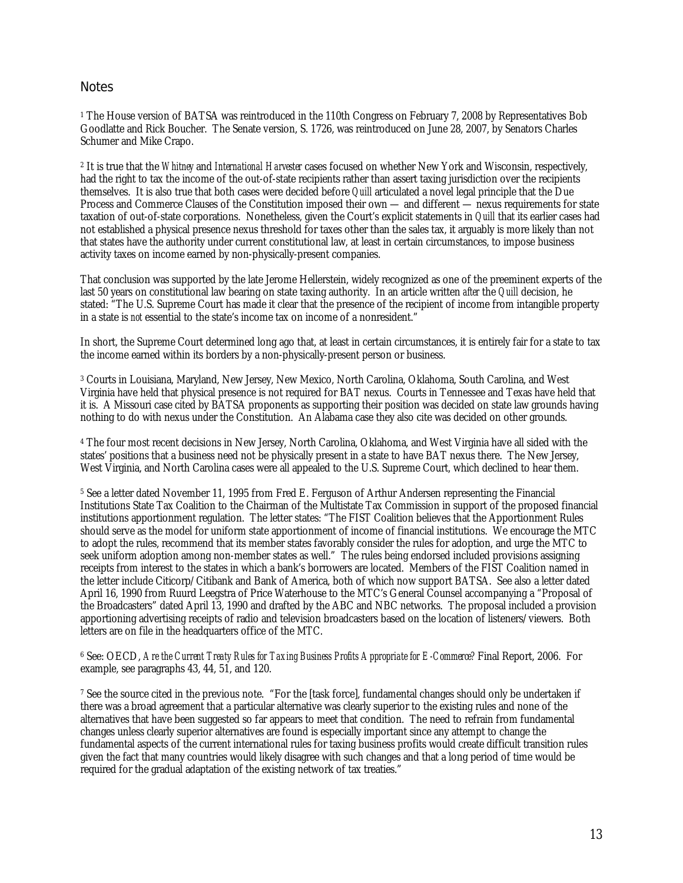#### **Notes**

<sup>1</sup> The House version of BATSA was reintroduced in the 110th Congress on February 7, 2008 by Representatives Bob Goodlatte and Rick Boucher. The Senate version, S. 1726, was reintroduced on June 28, 2007, by Senators Charles Schumer and Mike Crapo.

2 It is true that the *Whitney* and *International Harvester* cases focused on whether New York and Wisconsin, respectively, had the right to tax the income of the out-of-state recipients rather than assert taxing jurisdiction over the recipients themselves. It is also true that both cases were decided before *Quill* articulated a novel legal principle that the Due Process and Commerce Clauses of the Constitution imposed their own — and different — nexus requirements for state taxation of out-of-state corporations. Nonetheless, given the Court's explicit statements in *Quill* that its earlier cases had not established a physical presence nexus threshold for taxes other than the sales tax, it arguably is more likely than not that states have the authority under current constitutional law, at least in certain circumstances, to impose business activity taxes on income earned by non-physically-present companies.

That conclusion was supported by the late Jerome Hellerstein, widely recognized as one of the preeminent experts of the last 50 years on constitutional law bearing on state taxing authority. In an article written *after* the *Quill* decision, he stated: "The U.S. Supreme Court has made it clear that the presence of the recipient of income from intangible property in a state is *not* essential to the state's income tax on income of a nonresident."

In short, the Supreme Court determined long ago that, at least in certain circumstances, it is entirely fair for a state to tax the income earned within its borders by a non-physically-present person or business.

3 Courts in Louisiana, Maryland, New Jersey, New Mexico, North Carolina, Oklahoma, South Carolina, and West Virginia have held that physical presence is not required for BAT nexus. Courts in Tennessee and Texas have held that it is. A Missouri case cited by BATSA proponents as supporting their position was decided on state law grounds having nothing to do with nexus under the Constitution. An Alabama case they also cite was decided on other grounds.

4 The four most recent decisions in New Jersey, North Carolina, Oklahoma, and West Virginia have all sided with the states' positions that a business need not be physically present in a state to have BAT nexus there. The New Jersey, West Virginia, and North Carolina cases were all appealed to the U.S. Supreme Court, which declined to hear them.

5 See a letter dated November 11, 1995 from Fred E. Ferguson of Arthur Andersen representing the Financial Institutions State Tax Coalition to the Chairman of the Multistate Tax Commission in support of the proposed financial institutions apportionment regulation. The letter states: "The FIST Coalition believes that the Apportionment Rules should serve as the model for uniform state apportionment of income of financial institutions. We encourage the MTC to adopt the rules, recommend that its member states favorably consider the rules for adoption, and urge the MTC to seek uniform adoption among non-member states as well." The rules being endorsed included provisions assigning receipts from interest to the states in which a bank's borrowers are located. Members of the FIST Coalition named in the letter include Citicorp/Citibank and Bank of America, both of which now support BATSA. See also a letter dated April 16, 1990 from Ruurd Leegstra of Price Waterhouse to the MTC's General Counsel accompanying a "Proposal of the Broadcasters" dated April 13, 1990 and drafted by the ABC and NBC networks. The proposal included a provision apportioning advertising receipts of radio and television broadcasters based on the location of listeners/viewers. Both letters are on file in the headquarters office of the MTC.

6 See: OECD, *Are the Current Treaty Rules for Taxing Business Profits Appropriate for E-Commerce?* Final Report, 2006. For example, see paragraphs 43, 44, 51, and 120.

7 See the source cited in the previous note. "For the [task force], fundamental changes should only be undertaken if there was a broad agreement that a particular alternative was clearly superior to the existing rules and none of the alternatives that have been suggested so far appears to meet that condition. The need to refrain from fundamental changes unless clearly superior alternatives are found is especially important since any attempt to change the fundamental aspects of the current international rules for taxing business profits would create difficult transition rules given the fact that many countries would likely disagree with such changes and that a long period of time would be required for the gradual adaptation of the existing network of tax treaties."